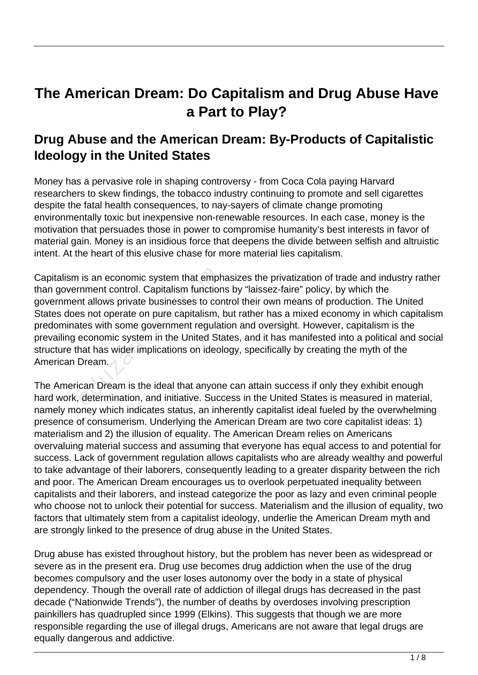# **The American Dream: Do Capitalism and Drug Abuse Have a Part to Play?**

## **Drug Abuse and the American Dream: By-Products of Capitalistic Ideology in the United States**

Money has a pervasive role in shaping controversy - from Coca Cola paying Harvard researchers to skew findings, the tobacco industry continuing to promote and sell cigarettes despite the fatal health consequences, to nay-sayers of climate change promoting environmentally toxic but inexpensive non-renewable resources. In each case, money is the motivation that persuades those in power to compromise humanity's best interests in favor of material gain. Money is an insidious force that deepens the divide between selfish and altruistic intent. At the heart of this elusive chase for more material lies capitalism.

Capitalism is an economic system that emphasizes the privatization of trade and industry rather than government control. Capitalism functions by "laissez-faire" policy, by which the government allows private businesses to control their own means of production. The United States does not operate on pure capitalism, but rather has a mixed economy in which capitalism predominates with some government regulation and oversight. However, capitalism is the prevailing economic system in the United States, and it has manifested into a political and social structure that has wider implications on ideology, specifically by creating the myth of the American Dream. is an economic system that empt<br>
inment control. Capitalism function<br>
ont allows private businesses to contes not operate on pure capitalism,<br>
tes with some government regula<br>
economic system in the United Stand has wider

The American Dream is the ideal that anyone can attain success if only they exhibit enough hard work, determination, and initiative. Success in the United States is measured in material, namely money which indicates status, an inherently capitalist ideal fueled by the overwhelming presence of consumerism. Underlying the American Dream are two core capitalist ideas: 1) materialism and 2) the illusion of equality. The American Dream relies on Americans overvaluing material success and assuming that everyone has equal access to and potential for success. Lack of government regulation allows capitalists who are already wealthy and powerful to take advantage of their laborers, consequently leading to a greater disparity between the rich and poor. The American Dream encourages us to overlook perpetuated inequality between capitalists and their laborers, and instead categorize the poor as lazy and even criminal people who choose not to unlock their potential for success. Materialism and the illusion of equality, two factors that ultimately stem from a capitalist ideology, underlie the American Dream myth and are strongly linked to the presence of drug abuse in the United States.

Drug abuse has existed throughout history, but the problem has never been as widespread or severe as in the present era. Drug use becomes drug addiction when the use of the drug becomes compulsory and the user loses autonomy over the body in a state of physical dependency. Though the overall rate of addiction of illegal drugs has decreased in the past decade ("Nationwide Trends"), the number of deaths by overdoses involving prescription painkillers has quadrupled since 1999 (Elkins). This suggests that though we are more responsible regarding the use of illegal drugs, Americans are not aware that legal drugs are equally dangerous and addictive.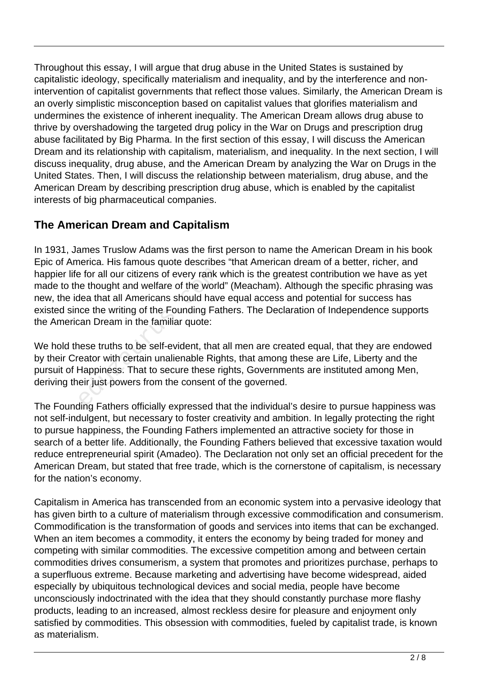Throughout this essay, I will argue that drug abuse in the United States is sustained by capitalistic ideology, specifically materialism and inequality, and by the interference and nonintervention of capitalist governments that reflect those values. Similarly, the American Dream is an overly simplistic misconception based on capitalist values that glorifies materialism and undermines the existence of inherent inequality. The American Dream allows drug abuse to thrive by overshadowing the targeted drug policy in the War on Drugs and prescription drug abuse facilitated by Big Pharma. In the first section of this essay, I will discuss the American Dream and its relationship with capitalism, materialism, and inequality. In the next section, I will discuss inequality, drug abuse, and the American Dream by analyzing the War on Drugs in the United States. Then, I will discuss the relationship between materialism, drug abuse, and the American Dream by describing prescription drug abuse, which is enabled by the capitalist interests of big pharmaceutical companies.

### **The American Dream and Capitalism**

In 1931, James Truslow Adams was the first person to name the American Dream in his book Epic of America. His famous quote describes "that American dream of a better, richer, and happier life for all our citizens of every rank which is the greatest contribution we have as yet made to the thought and welfare of the world" (Meacham). Although the specific phrasing was new, the idea that all Americans should have equal access and potential for success has existed since the writing of the Founding Fathers. The Declaration of Independence supports the American Dream in the familiar quote: e for all our citizens of every rank velought and welfare of the world<br>lea that all Americans should have<br>ice the writing of the Founding Fat<br>can Dream in the familiar quote:<br>nese truths to be self-evident, that<br>eator with

We hold these truths to be self-evident, that all men are created equal, that they are endowed by their Creator with certain unalienable Rights, that among these are Life, Liberty and the pursuit of Happiness. That to secure these rights, Governments are instituted among Men, deriving their just powers from the consent of the governed.

The Founding Fathers officially expressed that the individual's desire to pursue happiness was not self-indulgent, but necessary to foster creativity and ambition. In legally protecting the right to pursue happiness, the Founding Fathers implemented an attractive society for those in search of a better life. Additionally, the Founding Fathers believed that excessive taxation would reduce entrepreneurial spirit (Amadeo). The Declaration not only set an official precedent for the American Dream, but stated that free trade, which is the cornerstone of capitalism, is necessary for the nation's economy.

Capitalism in America has transcended from an economic system into a pervasive ideology that has given birth to a culture of materialism through excessive commodification and consumerism. Commodification is the transformation of goods and services into items that can be exchanged. When an item becomes a commodity, it enters the economy by being traded for money and competing with similar commodities. The excessive competition among and between certain commodities drives consumerism, a system that promotes and prioritizes purchase, perhaps to a superfluous extreme. Because marketing and advertising have become widespread, aided especially by ubiquitous technological devices and social media, people have become unconsciously indoctrinated with the idea that they should constantly purchase more flashy products, leading to an increased, almost reckless desire for pleasure and enjoyment only satisfied by commodities. This obsession with commodities, fueled by capitalist trade, is known as materialism.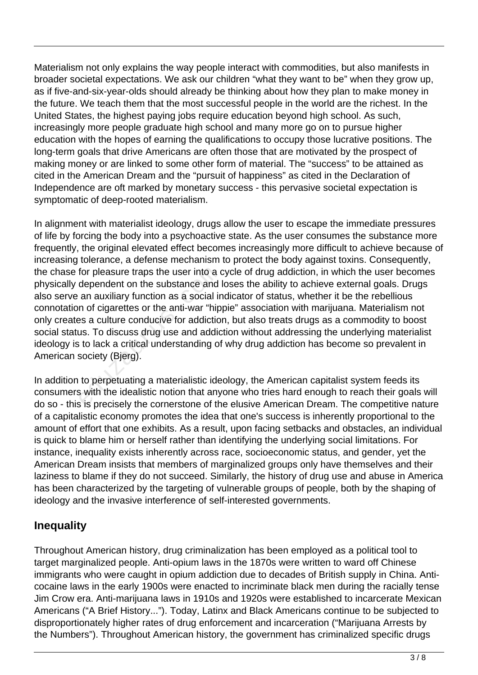Materialism not only explains the way people interact with commodities, but also manifests in broader societal expectations. We ask our children "what they want to be" when they grow up, as if five-and-six-year-olds should already be thinking about how they plan to make money in the future. We teach them that the most successful people in the world are the richest. In the United States, the highest paying jobs require education beyond high school. As such, increasingly more people graduate high school and many more go on to pursue higher education with the hopes of earning the qualifications to occupy those lucrative positions. The long-term goals that drive Americans are often those that are motivated by the prospect of making money or are linked to some other form of material. The "success" to be attained as cited in the American Dream and the "pursuit of happiness" as cited in the Declaration of Independence are oft marked by monetary success - this pervasive societal expectation is symptomatic of deep-rooted materialism.

In alignment with materialist ideology, drugs allow the user to escape the immediate pressures of life by forcing the body into a psychoactive state. As the user consumes the substance more frequently, the original elevated effect becomes increasingly more difficult to achieve because of increasing tolerance, a defense mechanism to protect the body against toxins. Consequently, the chase for pleasure traps the user into a cycle of drug addiction, in which the user becomes physically dependent on the substance and loses the ability to achieve external goals. Drugs also serve an auxiliary function as a social indicator of status, whether it be the rebellious connotation of cigarettes or the anti-war "hippie" association with marijuana. Materialism not only creates a culture conducive for addiction, but also treats drugs as a commodity to boost social status. To discuss drug use and addiction without addressing the underlying materialist ideology is to lack a critical understanding of why drug addiction has become so prevalent in American society (Bjerg). for pleasure traps the user into a dependent on the substance and<br>an auxiliary function as a social ir<br>n of cigarettes or the anti-war "hip<br>es a culture conducive for addictio<br>us. To discuss drug use and addic<br>i to lack a

In addition to perpetuating a materialistic ideology, the American capitalist system feeds its consumers with the idealistic notion that anyone who tries hard enough to reach their goals will do so - this is precisely the cornerstone of the elusive American Dream. The competitive nature of a capitalistic economy promotes the idea that one's success is inherently proportional to the amount of effort that one exhibits. As a result, upon facing setbacks and obstacles, an individual is quick to blame him or herself rather than identifying the underlying social limitations. For instance, inequality exists inherently across race, socioeconomic status, and gender, yet the American Dream insists that members of marginalized groups only have themselves and their laziness to blame if they do not succeed. Similarly, the history of drug use and abuse in America has been characterized by the targeting of vulnerable groups of people, both by the shaping of ideology and the invasive interference of self-interested governments.

#### **Inequality**

Throughout American history, drug criminalization has been employed as a political tool to target marginalized people. Anti-opium laws in the 1870s were written to ward off Chinese immigrants who were caught in opium addiction due to decades of British supply in China. Anticocaine laws in the early 1900s were enacted to incriminate black men during the racially tense Jim Crow era. Anti-marijuana laws in 1910s and 1920s were established to incarcerate Mexican Americans ("A Brief History..."). Today, Latinx and Black Americans continue to be subjected to disproportionately higher rates of drug enforcement and incarceration ("Marijuana Arrests by the Numbers"). Throughout American history, the government has criminalized specific drugs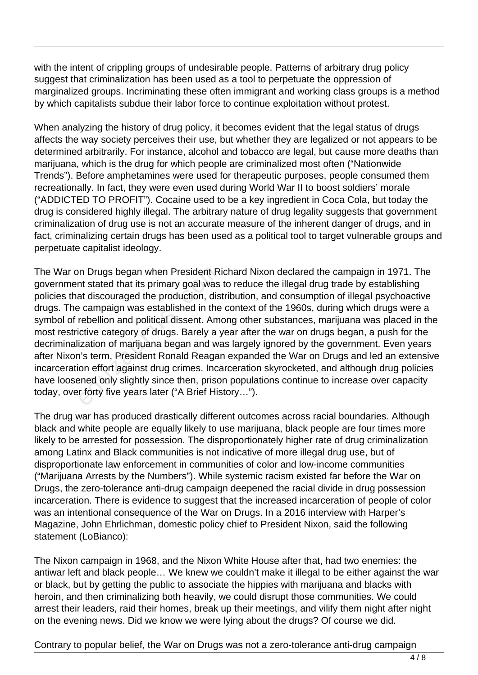with the intent of crippling groups of undesirable people. Patterns of arbitrary drug policy suggest that criminalization has been used as a tool to perpetuate the oppression of marginalized groups. Incriminating these often immigrant and working class groups is a method by which capitalists subdue their labor force to continue exploitation without protest.

When analyzing the history of drug policy, it becomes evident that the legal status of drugs affects the way society perceives their use, but whether they are legalized or not appears to be determined arbitrarily. For instance, alcohol and tobacco are legal, but cause more deaths than marijuana, which is the drug for which people are criminalized most often ("Nationwide Trends"). Before amphetamines were used for therapeutic purposes, people consumed them recreationally. In fact, they were even used during World War II to boost soldiers' morale ("ADDICTED TO PROFIT"). Cocaine used to be a key ingredient in Coca Cola, but today the drug is considered highly illegal. The arbitrary nature of drug legality suggests that government criminalization of drug use is not an accurate measure of the inherent danger of drugs, and in fact, criminalizing certain drugs has been used as a political tool to target vulnerable groups and perpetuate capitalist ideology.

The War on Drugs began when President Richard Nixon declared the campaign in 1971. The government stated that its primary goal was to reduce the illegal drug trade by establishing policies that discouraged the production, distribution, and consumption of illegal psychoactive drugs. The campaign was established in the context of the 1960s, during which drugs were a symbol of rebellion and political dissent. Among other substances, marijuana was placed in the most restrictive category of drugs. Barely a year after the war on drugs began, a push for the decriminalization of marijuana began and was largely ignored by the government. Even years after Nixon's term, President Ronald Reagan expanded the War on Drugs and led an extensive incarceration effort against drug crimes. Incarceration skyrocketed, and although drug policies have loosened only slightly since then, prison populations continue to increase over capacity today, over forty five years later ("A Brief History…"). n Drugs began when President Ri<br>
nt stated that its primary goal was<br>
at discouraged the production, dis<br>
e campaign was established in the<br>
rebellion and political dissent. Am<br>
ctive category of drugs. Barely a y<br>
ization

The drug war has produced drastically different outcomes across racial boundaries. Although black and white people are equally likely to use marijuana, black people are four times more likely to be arrested for possession. The disproportionately higher rate of drug criminalization among Latinx and Black communities is not indicative of more illegal drug use, but of disproportionate law enforcement in communities of color and low-income communities ("Marijuana Arrests by the Numbers"). While systemic racism existed far before the War on Drugs, the zero-tolerance anti-drug campaign deepened the racial divide in drug possession incarceration. There is evidence to suggest that the increased incarceration of people of color was an intentional consequence of the War on Drugs. In a 2016 interview with Harper's Magazine, John Ehrlichman, domestic policy chief to President Nixon, said the following statement (LoBianco):

The Nixon campaign in 1968, and the Nixon White House after that, had two enemies: the antiwar left and black people… We knew we couldn't make it illegal to be either against the war or black, but by getting the public to associate the hippies with marijuana and blacks with heroin, and then criminalizing both heavily, we could disrupt those communities. We could arrest their leaders, raid their homes, break up their meetings, and vilify them night after night on the evening news. Did we know we were lying about the drugs? Of course we did.

Contrary to popular belief, the War on Drugs was not a zero-tolerance anti-drug campaign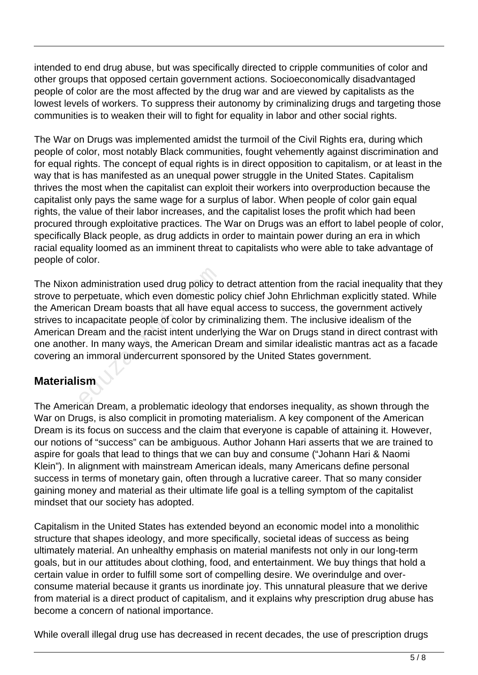intended to end drug abuse, but was specifically directed to cripple communities of color and other groups that opposed certain government actions. Socioeconomically disadvantaged people of color are the most affected by the drug war and are viewed by capitalists as the lowest levels of workers. To suppress their autonomy by criminalizing drugs and targeting those communities is to weaken their will to fight for equality in labor and other social rights.

The War on Drugs was implemented amidst the turmoil of the Civil Rights era, during which people of color, most notably Black communities, fought vehemently against discrimination and for equal rights. The concept of equal rights is in direct opposition to capitalism, or at least in the way that is has manifested as an unequal power struggle in the United States. Capitalism thrives the most when the capitalist can exploit their workers into overproduction because the capitalist only pays the same wage for a surplus of labor. When people of color gain equal rights, the value of their labor increases, and the capitalist loses the profit which had been procured through exploitative practices. The War on Drugs was an effort to label people of color, specifically Black people, as drug addicts in order to maintain power during an era in which racial equality loomed as an imminent threat to capitalists who were able to take advantage of people of color.

The Nixon administration used drug policy to detract attention from the racial inequality that they strove to perpetuate, which even domestic policy chief John Ehrlichman explicitly stated. While the American Dream boasts that all have equal access to success, the government actively strives to incapacitate people of color by criminalizing them. The inclusive idealism of the American Dream and the racist intent underlying the War on Drugs stand in direct contrast with one another. In many ways, the American Dream and similar idealistic mantras act as a facade covering an immoral undercurrent sponsored by the United States government. administration used drug policy to<br>erpetuate, which even domestic p<br>can Dream boasts that all have eq<br>ncapacitate people of color by crim<br>Dream and the racist intent underly<br>er. In many ways, the American D<br>n immoral under

#### **Materialism**

The American Dream, a problematic ideology that endorses inequality, as shown through the War on Drugs, is also complicit in promoting materialism. A key component of the American Dream is its focus on success and the claim that everyone is capable of attaining it. However, our notions of "success" can be ambiguous. Author Johann Hari asserts that we are trained to aspire for goals that lead to things that we can buy and consume ("Johann Hari & Naomi Klein"). In alignment with mainstream American ideals, many Americans define personal success in terms of monetary gain, often through a lucrative career. That so many consider gaining money and material as their ultimate life goal is a telling symptom of the capitalist mindset that our society has adopted.

Capitalism in the United States has extended beyond an economic model into a monolithic structure that shapes ideology, and more specifically, societal ideas of success as being ultimately material. An unhealthy emphasis on material manifests not only in our long-term goals, but in our attitudes about clothing, food, and entertainment. We buy things that hold a certain value in order to fulfill some sort of compelling desire. We overindulge and overconsume material because it grants us inordinate joy. This unnatural pleasure that we derive from material is a direct product of capitalism, and it explains why prescription drug abuse has become a concern of national importance.

While overall illegal drug use has decreased in recent decades, the use of prescription drugs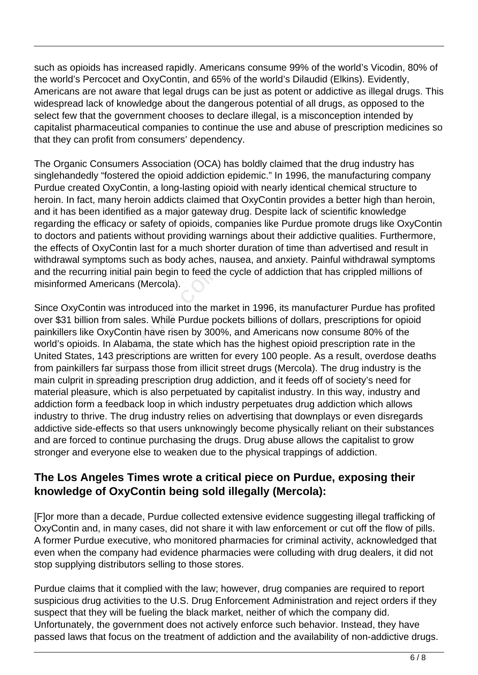such as opioids has increased rapidly. Americans consume 99% of the world's Vicodin, 80% of the world's Percocet and OxyContin, and 65% of the world's Dilaudid (Elkins). Evidently, Americans are not aware that legal drugs can be just as potent or addictive as illegal drugs. This widespread lack of knowledge about the dangerous potential of all drugs, as opposed to the select few that the government chooses to declare illegal, is a misconception intended by capitalist pharmaceutical companies to continue the use and abuse of prescription medicines so that they can profit from consumers' dependency.

The Organic Consumers Association (OCA) has boldly claimed that the drug industry has singlehandedly "fostered the opioid addiction epidemic." In 1996, the manufacturing company Purdue created OxyContin, a long-lasting opioid with nearly identical chemical structure to heroin. In fact, many heroin addicts claimed that OxyContin provides a better high than heroin, and it has been identified as a major gateway drug. Despite lack of scientific knowledge regarding the efficacy or safety of opioids, companies like Purdue promote drugs like OxyContin to doctors and patients without providing warnings about their addictive qualities. Furthermore, the effects of OxyContin last for a much shorter duration of time than advertised and result in withdrawal symptoms such as body aches, nausea, and anxiety. Painful withdrawal symptoms and the recurring initial pain begin to feed the cycle of addiction that has crippled millions of misinformed Americans (Mercola).

Since OxyContin was introduced into the market in 1996, its manufacturer Purdue has profited over \$31 billion from sales. While Purdue pockets billions of dollars, prescriptions for opioid painkillers like OxyContin have risen by 300%, and Americans now consume 80% of the world's opioids. In Alabama, the state which has the highest opioid prescription rate in the United States, 143 prescriptions are written for every 100 people. As a result, overdose deaths from painkillers far surpass those from illicit street drugs (Mercola). The drug industry is the main culprit in spreading prescription drug addiction, and it feeds off of society's need for material pleasure, which is also perpetuated by capitalist industry. In this way, industry and addiction form a feedback loop in which industry perpetuates drug addiction which allows industry to thrive. The drug industry relies on advertising that downplays or even disregards addictive side-effects so that users unknowingly become physically reliant on their substances and are forced to continue purchasing the drugs. Drug abuse allows the capitalist to grow stronger and everyone else to weaken due to the physical trappings of addiction. curring initial pain begin to feed th<br>ed Americans (Mercola).<br>Contin was introduced into the maillion from sales. While Purdue po<br>like OxyContin have risen by 300<br>ioids. In Alabama, the state which<br>tes, 143 prescriptions a

#### **The Los Angeles Times wrote a critical piece on Purdue, exposing their knowledge of OxyContin being sold illegally (Mercola):**

[F]or more than a decade, Purdue collected extensive evidence suggesting illegal trafficking of OxyContin and, in many cases, did not share it with law enforcement or cut off the flow of pills. A former Purdue executive, who monitored pharmacies for criminal activity, acknowledged that even when the company had evidence pharmacies were colluding with drug dealers, it did not stop supplying distributors selling to those stores.

Purdue claims that it complied with the law; however, drug companies are required to report suspicious drug activities to the U.S. Drug Enforcement Administration and reject orders if they suspect that they will be fueling the black market, neither of which the company did. Unfortunately, the government does not actively enforce such behavior. Instead, they have passed laws that focus on the treatment of addiction and the availability of non-addictive drugs.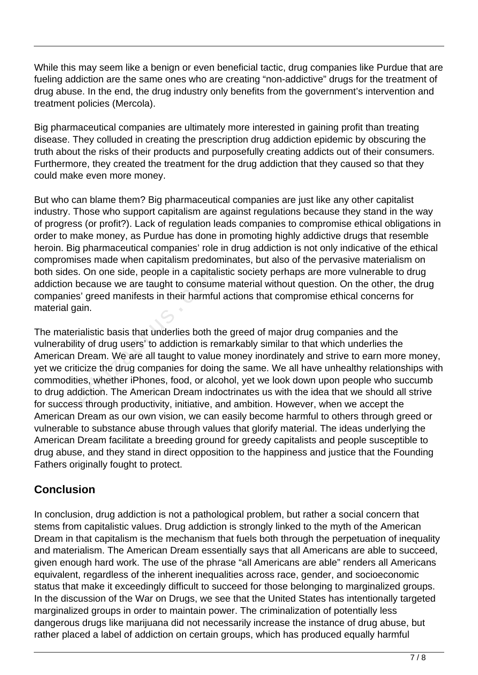While this may seem like a benign or even beneficial tactic, drug companies like Purdue that are fueling addiction are the same ones who are creating "non-addictive" drugs for the treatment of drug abuse. In the end, the drug industry only benefits from the government's intervention and treatment policies (Mercola).

Big pharmaceutical companies are ultimately more interested in gaining profit than treating disease. They colluded in creating the prescription drug addiction epidemic by obscuring the truth about the risks of their products and purposefully creating addicts out of their consumers. Furthermore, they created the treatment for the drug addiction that they caused so that they could make even more money.

But who can blame them? Big pharmaceutical companies are just like any other capitalist industry. Those who support capitalism are against regulations because they stand in the way of progress (or profit?). Lack of regulation leads companies to compromise ethical obligations in order to make money, as Purdue has done in promoting highly addictive drugs that resemble heroin. Big pharmaceutical companies' role in drug addiction is not only indicative of the ethical compromises made when capitalism predominates, but also of the pervasive materialism on both sides. On one side, people in a capitalistic society perhaps are more vulnerable to drug addiction because we are taught to consume material without question. On the other, the drug companies' greed manifests in their harmful actions that compromise ethical concerns for material gain.

The materialistic basis that underlies both the greed of major drug companies and the vulnerability of drug users' to addiction is remarkably similar to that which underlies the American Dream. We are all taught to value money inordinately and strive to earn more money, yet we criticize the drug companies for doing the same. We all have unhealthy relationships with commodities, whether iPhones, food, or alcohol, yet we look down upon people who succumb to drug addiction. The American Dream indoctrinates us with the idea that we should all strive for success through productivity, initiative, and ambition. However, when we accept the American Dream as our own vision, we can easily become harmful to others through greed or vulnerable to substance abuse through values that glorify material. The ideas underlying the American Dream facilitate a breeding ground for greedy capitalists and people susceptible to drug abuse, and they stand in direct opposition to the happiness and justice that the Founding Fathers originally fought to protect. . On one side, people in a capitalis<br>because we are taught to consume<br>i' greed manifests in their harmful<br>ain.<br>ialistic basis that underlies both th<br>ty of drug users' to addiction is rer<br>Dream. We are all taught to value<br>i

#### **Conclusion**

In conclusion, drug addiction is not a pathological problem, but rather a social concern that stems from capitalistic values. Drug addiction is strongly linked to the myth of the American Dream in that capitalism is the mechanism that fuels both through the perpetuation of inequality and materialism. The American Dream essentially says that all Americans are able to succeed, given enough hard work. The use of the phrase "all Americans are able" renders all Americans equivalent, regardless of the inherent inequalities across race, gender, and socioeconomic status that make it exceedingly difficult to succeed for those belonging to marginalized groups. In the discussion of the War on Drugs, we see that the United States has intentionally targeted marginalized groups in order to maintain power. The criminalization of potentially less dangerous drugs like marijuana did not necessarily increase the instance of drug abuse, but rather placed a label of addiction on certain groups, which has produced equally harmful